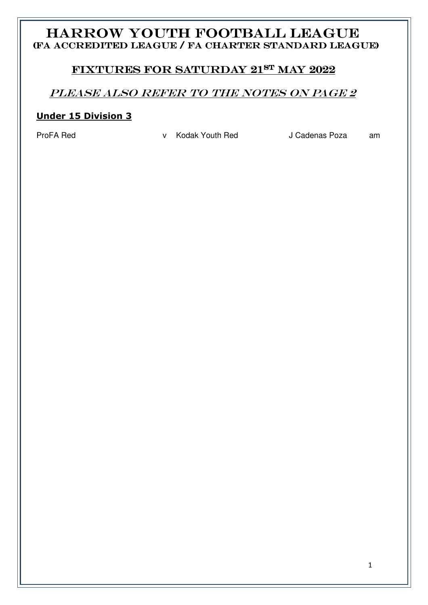# HARROW YOUTH FOOTBALL LEAGUE (FA ACCREDITED LEAGUE / FA CHARTER STANDARD LEAGUE)

## FIXTURES FOR SATURDAY 21ST MAY 2022

## PLEASE ALSO REFER TO THE NOTES ON PAGE 2

### **Under 15 Division 3**

ProFA Red **v** Kodak Youth Red J Cadenas Poza am